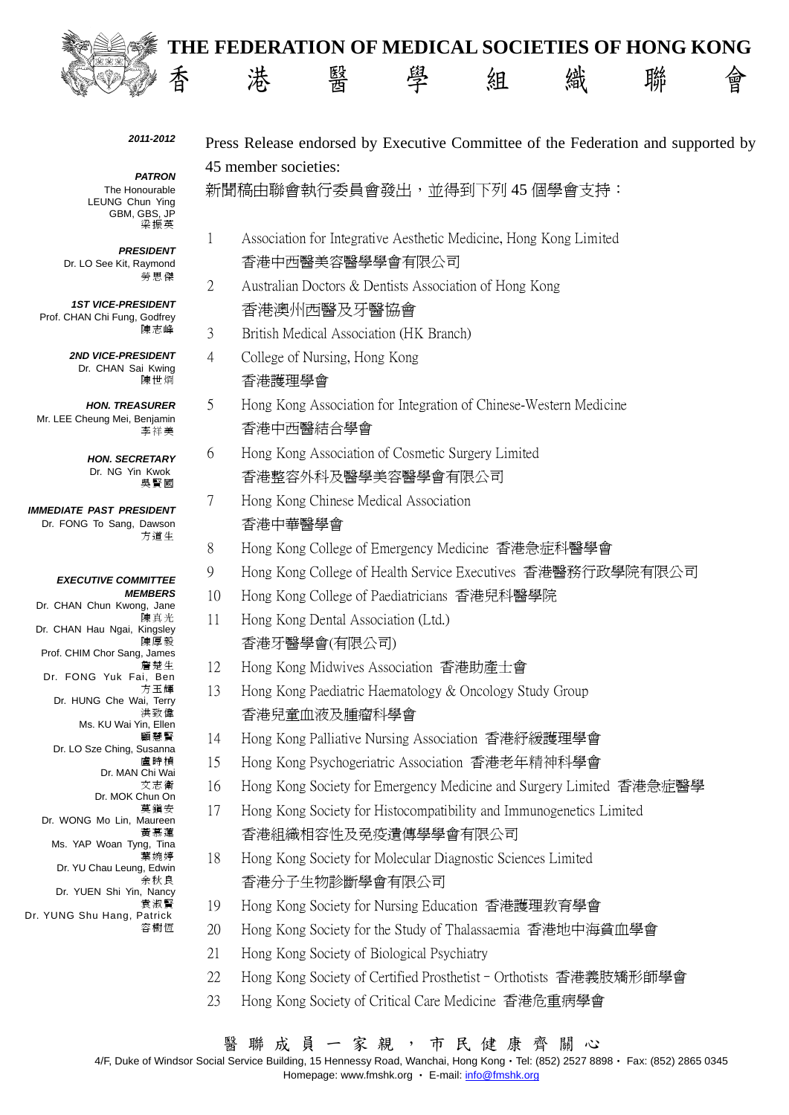

# **THE FEDERATION OF MEDICAL SOCIETIES OF HONG KONG 、 香 港 醫 學 組 織 聯 會**

#### *2011-2012*

*PATRON*  The Honourable LEUNG Chun Ying GBM, GBS, JP 梁振英

# *PRESIDENT*

Dr. LO See Kit, Raymond 勞思傑

*1ST VICE-PRESIDENT*  Prof. CHAN Chi Fung, Godfrey 陳志峰

> *2ND VICE-PRESIDENT*  Dr. CHAN Sai Kwing 陳世烱

*HON. TREASURER*  Mr. LEE Cheung Mei, Benjamin 李祥美

> *HON. SECRETARY*  Dr. NG Yin Kwok 吳賢國

*IMMEDIATE PAST PRESIDENT*  Dr. FONG To Sang, Dawson 方道生

#### *EXECUTIVE COMMITTEE MEMBERS*

Dr. CHAN Chun Kwong, Jane 陳真光 Dr. CHAN Hau Ngai, Kingsley 陳厚毅 Prof. CHIM Chor Sang, James 詹楚生 Dr. FONG Yuk Fai, Ben 方玉輝 Dr. HUNG Che Wai, Terry 洪致偉 Ms. KU Wai Yin, Ellen 顧慧賢 Dr. LO Sze Ching, Susanna 盧時楨 Dr. MAN Chi Wai 文志衛 Dr. MOK Chun On 莫鎮安 Dr. WONG Mo Lin, Maureen 黃慕蓮 Ms. YAP Woan Tyng, Tina 葉婉婷 Dr. YU Chau Leung, Edwin 余秋良 Dr. YUEN Shi Yin, Nancy 袁淑賢 Dr. YUNG Shu Hang, Patrick

容樹恆

Press Release endorsed by Executive Committee of the Federation and supported by 45 member societies:

新聞稿由聯會執行委員會發出,並得到下列 45 個學會支持:

- 1 Association for Integrative Aesthetic Medicine, Hong Kong Limited 香港中西醫美容醫學學會有限公司
- 2 Australian Doctors & Dentists Association of Hong Kong 香港澳州西醫及牙醫協會
- 3 British Medical Association (HK Branch)
- 4 College of Nursing, Hong Kong 香港護理學會
- 5 Hong Kong Association for Integration of Chinese-Western Medicine 香港中西醫結合學會
- 6 Hong Kong Association of Cosmetic Surgery Limited 香港整容外科及醫學美容醫學會有限公司
- 7 Hong Kong Chinese Medical Association 香港中華醫學會
- 8 Hong Kong College of Emergency Medicine 香港急症科醫學會
- 9 Hong Kong College of Health Service Executives 香港醫務行政學院有限公司
- 10 Hong Kong College of Paediatricians 香港兒科醫學院
- 11 Hong Kong Dental Association (Ltd.) 香港牙醫學會(有限公司)
- 12 Hong Kong Midwives Association 香港助產士會
- 13 Hong Kong Paediatric Haematology & Oncology Study Group 香港兒童血液及腫瘤科學會
- 14 Hong Kong Palliative Nursing Association 香港紓緩護理學會
- 15 Hong Kong Psychogeriatric Association 香港老年精神科學會
- 16 Hong Kong Society for Emergency Medicine and Surgery Limited 香港急症醫學
- 17 Hong Kong Society for Histocompatibility and Immunogenetics Limited 香港組織相容性及免疫遺傳學學會有限公司
- 18 Hong Kong Society for Molecular Diagnostic Sciences Limited 香港分子生物診斷學會有限公司
- 19 Hong Kong Society for Nursing Education 香港護理教育學會
- 20 Hong Kong Society for the Study of Thalassaemia 香港地中海貧血學會
- 21 Hong Kong Society of Biological Psychiatry
- 22 Hong Kong Society of Certified Prosthetist–Orthotists 香港義肢矯形師學會
- 23 Hong Kong Society of Critical Care Medicine 香港危重病學會

4/F, Duke of Windsor Social Service Building, 15 Hennessy Road, Wanchai, Hong Kong‧Tel: (852) 2527 8898‧ Fax: (852) 2865 0345

Homepage: www.fmshk.org • E-mail: info@fmshk.org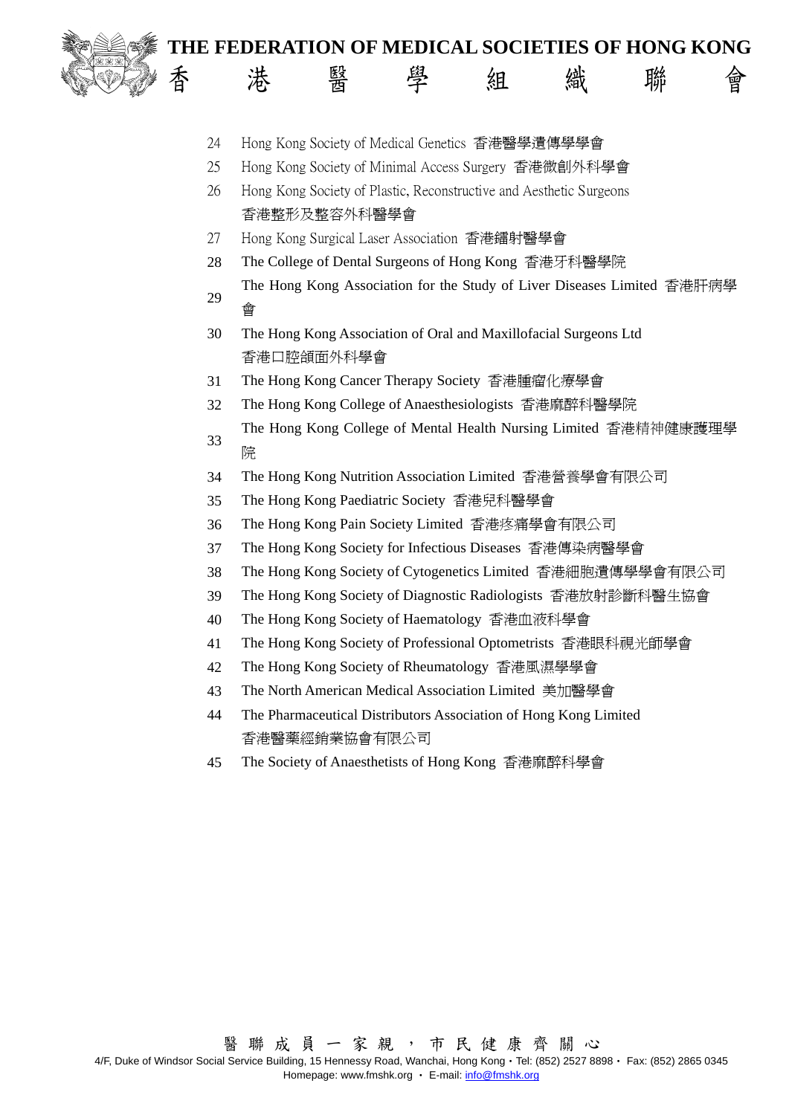

- 24 Hong Kong Society of Medical Genetics 香港醫學遺傳學學會
- 25 Hong Kong Society of Minimal Access Surgery 香港微創外科學會
- 26 Hong Kong Society of Plastic, Reconstructive and Aesthetic Surgeons 香港整形及整容外科醫學會
- 27 Hong Kong Surgical Laser Association 香港鐳射醫學會
- 28 The College of Dental Surgeons of Hong Kong 香港牙科醫學院
- <sup>29</sup> The Hong Kong Association for the Study of Liver Diseases Limited 香港肝病學 會
- 30 The Hong Kong Association of Oral and Maxillofacial Surgeons Ltd 香港口腔頜面外科學會
- 31 The Hong Kong Cancer Therapy Society 香港腫瘤化療學會
- 32 The Hong Kong College of Anaesthesiologists 香港麻醉科醫學院
- <sup>33</sup> The Hong Kong College of Mental Health Nursing Limited 香港精神健康護理學 院
- 34 The Hong Kong Nutrition Association Limited 香港營養學會有限公司
- 35 The Hong Kong Paediatric Society 香港兒科醫學會
- 36 The Hong Kong Pain Society Limited 香港疼痛學會有限公司
- 37 The Hong Kong Society for Infectious Diseases 香港傳染病醫學會
- 38 The Hong Kong Society of Cytogenetics Limited 香港細胞遺傳學學會有限公司
- 39 The Hong Kong Society of Diagnostic Radiologists 香港放射診斷科醫生協會
- 40 The Hong Kong Society of Haematology 香港血液科學會
- 41 The Hong Kong Society of Professional Optometrists 香港眼科視光師學會
- 42 The Hong Kong Society of Rheumatology 香港風濕學學會
- 43 The North American Medical Association Limited 美加醫學會
- 44 The Pharmaceutical Distributors Association of Hong Kong Limited 香港醫藥經銷業協會有限公司
- 45 The Society of Anaesthetists of Hong Kong 香港麻醉科學會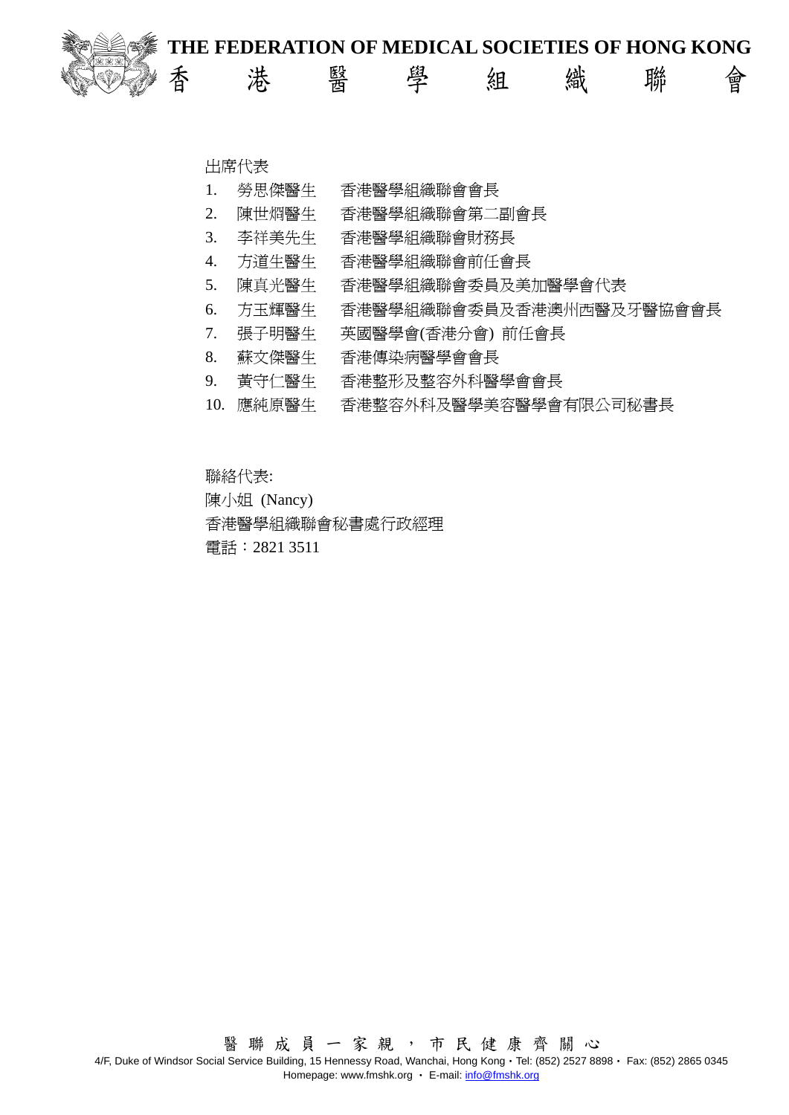

**、 香 港 醫 學 組 織 聯 會** 

## 出席代表

- 1. 勞思傑醫生 香港醫學組織聯會會長
- 2. 陳世烱醫生 香港醫學組織聯會第二副會長
- 3. 李祥美先生 香港醫學組織聯會財務長
- 4. 方道生醫生 香港醫學組織聯會前任會長
- 5. 陳真光醫生 香港醫學組織聯會委員及美加醫學會代表
- 6. 方玉輝醫生 香港醫學組織聯會委員及香港澳州西醫及牙醫協會會長
- 7. 張子明醫生 英國醫學會(香港分會) 前任會長
- 8. 蘇文傑醫生 香港傳染病醫學會會長
- 9. 黃守仁醫生 香港整形及整容外科醫學會會長
- 10. 應純原醫生 香港整容外科及醫學美容醫學會有限公司秘書長

聯絡代表: 陳小姐 (Nancy) 香港醫學組織聯會秘書處行政經理 電話:2821 3511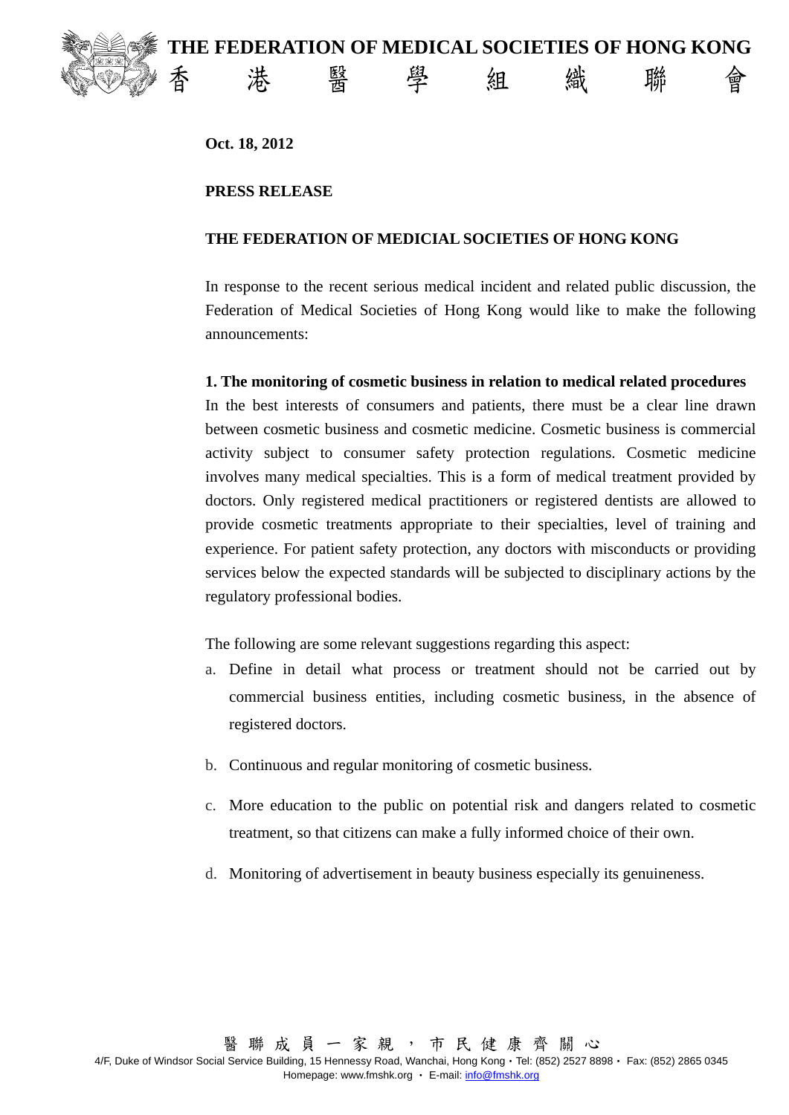

**Oct. 18, 2012** 

## **PRESS RELEASE**

## **THE FEDERATION OF MEDICIAL SOCIETIES OF HONG KONG**

In response to the recent serious medical incident and related public discussion, the Federation of Medical Societies of Hong Kong would like to make the following announcements:

#### **1. The monitoring of cosmetic business in relation to medical related procedures**

In the best interests of consumers and patients, there must be a clear line drawn between cosmetic business and cosmetic medicine. Cosmetic business is commercial activity subject to consumer safety protection regulations. Cosmetic medicine involves many medical specialties. This is a form of medical treatment provided by doctors. Only registered medical practitioners or registered dentists are allowed to provide cosmetic treatments appropriate to their specialties, level of training and experience. For patient safety protection, any doctors with misconducts or providing services below the expected standards will be subjected to disciplinary actions by the regulatory professional bodies.

The following are some relevant suggestions regarding this aspect:

- a. Define in detail what process or treatment should not be carried out by commercial business entities, including cosmetic business, in the absence of registered doctors.
- b. Continuous and regular monitoring of cosmetic business.
- c. More education to the public on potential risk and dangers related to cosmetic treatment, so that citizens can make a fully informed choice of their own.
- d. Monitoring of advertisement in beauty business especially its genuineness.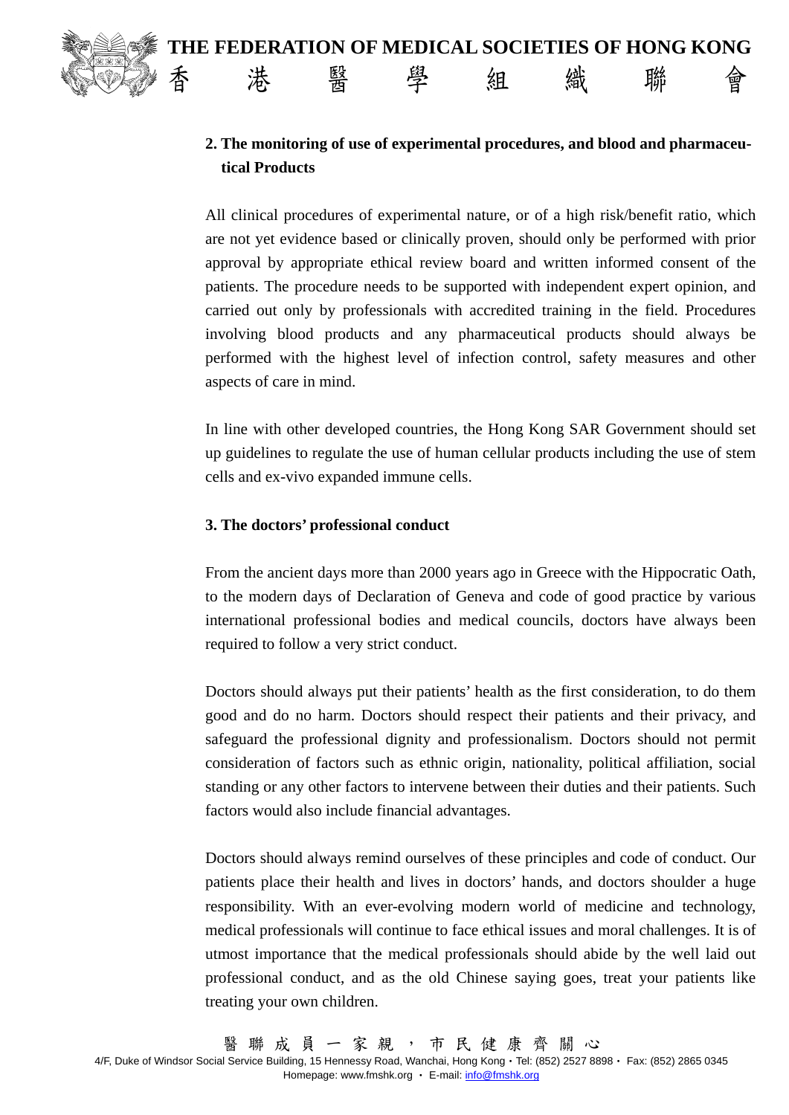# **、 香 港 醫 學 組 織 聯 會**

# **2. The monitoring of use of experimental procedures, and blood and pharmaceutical Products**

All clinical procedures of experimental nature, or of a high risk/benefit ratio, which are not yet evidence based or clinically proven, should only be performed with prior approval by appropriate ethical review board and written informed consent of the patients. The procedure needs to be supported with independent expert opinion, and carried out only by professionals with accredited training in the field. Procedures involving blood products and any pharmaceutical products should always be performed with the highest level of infection control, safety measures and other aspects of care in mind.

In line with other developed countries, the Hong Kong SAR Government should set up guidelines to regulate the use of human cellular products including the use of stem cells and ex-vivo expanded immune cells.

# **3. The doctors' professional conduct**

From the ancient days more than 2000 years ago in Greece with the Hippocratic Oath, to the modern days of Declaration of Geneva and code of good practice by various international professional bodies and medical councils, doctors have always been required to follow a very strict conduct.

Doctors should always put their patients' health as the first consideration, to do them good and do no harm. Doctors should respect their patients and their privacy, and safeguard the professional dignity and professionalism. Doctors should not permit consideration of factors such as ethnic origin, nationality, political affiliation, social standing or any other factors to intervene between their duties and their patients. Such factors would also include financial advantages.

Doctors should always remind ourselves of these principles and code of conduct. Our patients place their health and lives in doctors' hands, and doctors shoulder a huge responsibility. With an ever-evolving modern world of medicine and technology, medical professionals will continue to face ethical issues and moral challenges. It is of utmost importance that the medical professionals should abide by the well laid out professional conduct, and as the old Chinese saying goes, treat your patients like treating your own children.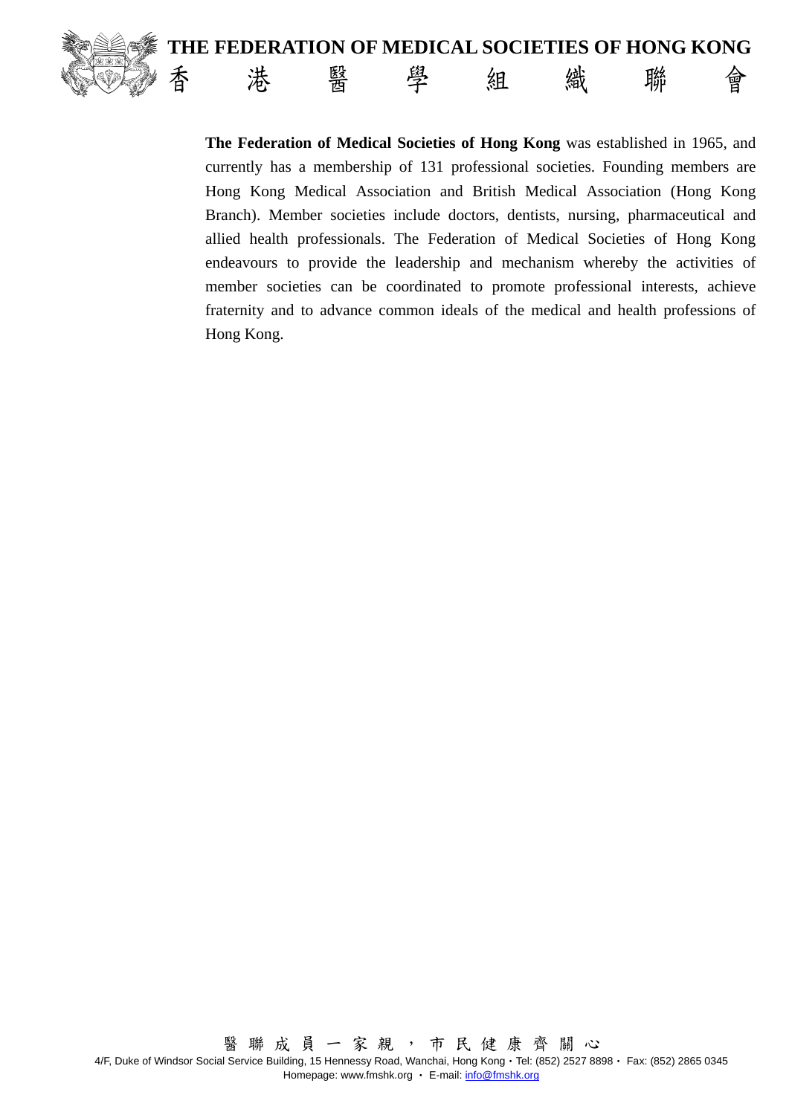

 **THE FEDERATION OF MEDICAL SOCIETIES OF HONG KONG 、 香 港 醫 學 組 織 聯 會** 

> **The Federation of Medical Societies of Hong Kong** was established in 1965, and currently has a membership of 131 professional societies. Founding members are Hong Kong Medical Association and British Medical Association (Hong Kong Branch). Member societies include doctors, dentists, nursing, pharmaceutical and allied health professionals. The Federation of Medical Societies of Hong Kong endeavours to provide the leadership and mechanism whereby the activities of member societies can be coordinated to promote professional interests, achieve fraternity and to advance common ideals of the medical and health professions of Hong Kong.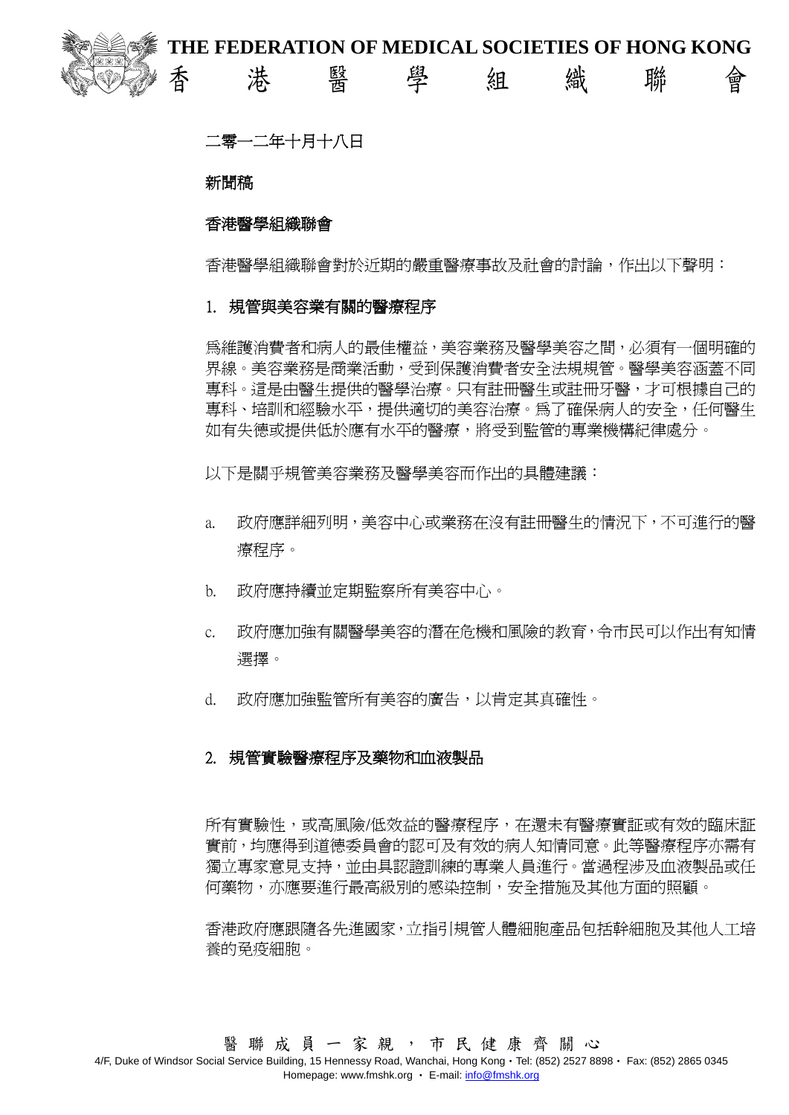

# 二零一二年十月十八日

## 新聞稿

# 香港醫學組織聯會

香港醫學組織聯會對於近期的嚴重醫療事故及社會的討論,作出以下聲明:

#### 1. 規管與美容業有關的醫療程序

為維護消費者和病人的最佳權益,美容業務及醫學美容之間,必須有一個明確的 界線。美容業務是商業活動,受到保護消費者安全法規規管。醫學美容涵蓋不同 專科。這是由醫生提供的醫學治療。只有註冊醫生或註冊牙醫,才可根據自己的 專科、培訓和經驗水平,提供適切的美容治療。為了確保病人的安全,任何醫生 如有失德或提供低於應有水平的醫療,將受到監管的專業機構紀律處分。

以下是關乎規管美容業務及醫學美容而作出的具體建議:

- a. 政府應詳細列明,美容中心或業務在沒有註冊醫生的情況下,不可進行的醫 療程序。
- b. 政府應持續並定期監察所有美容中心。
- c. 政府應加強有關醫學美容的潛在危機和風險的教育,令市民可以作出有知情 選擇。
- d. 政府應加強監管所有美容的廣告,以肯定其真確性。

## 2. 規管實驗醫療程序及藥物和血液製品

所有實驗性,或高風險/低效益的醫療程序,在還未有醫療實証或有效的臨床証 實前,均應得到道德委員會的認可及有效的病人知情同意。此等醫療程序亦需有 獨立專家意見支持,並由具認證訓練的專業人員進行。當過程涉及血液製品或任 何藥物,亦應要進行最高級別的感染控制,安全措施及其他方面的照顧。

香港政府應跟隨各先進國家,立指引規管人體細胞產品包括幹細胞及其他人工培 養的免疫細胞。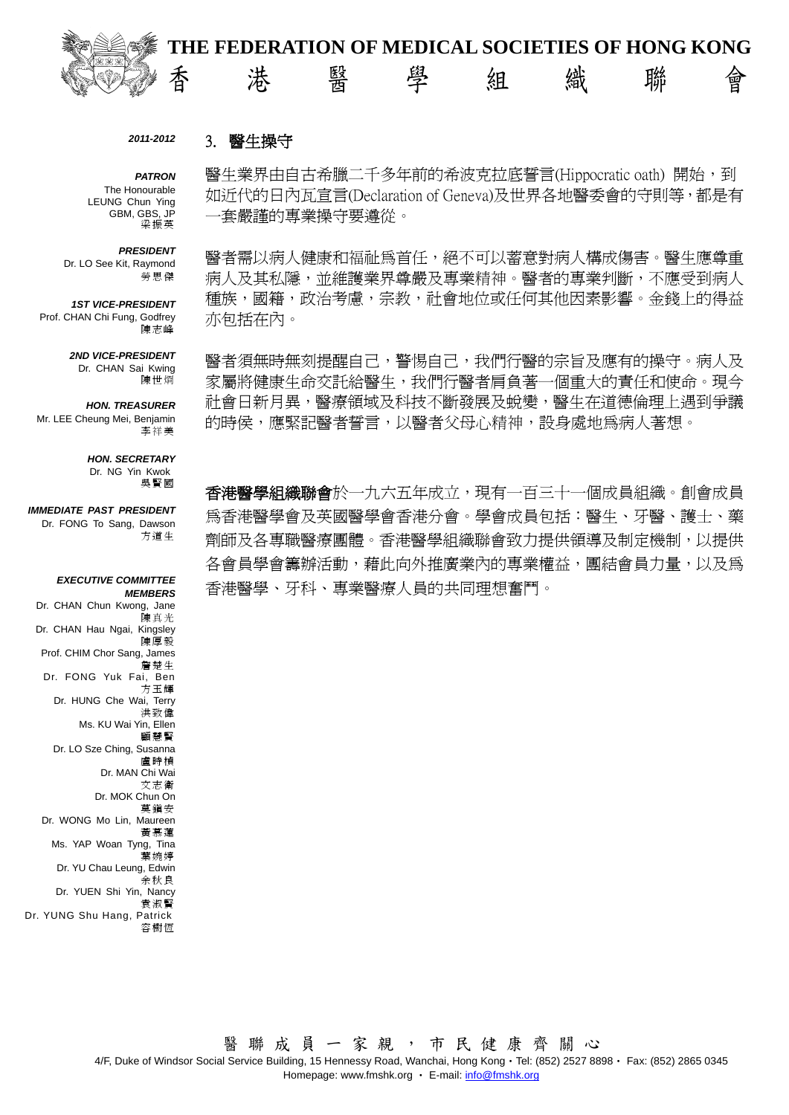

#### *2011-2012*  3. 醫生操守

*PATRON*  The Honourable LEUNG Chun Ying GBM, GBS, JP 梁振英

#### *PRESIDENT*

Dr. LO See Kit, Raymond 勞思傑

*1ST VICE-PRESIDENT*  Prof. CHAN Chi Fung, Godfrey 陳志峰

> *2ND VICE-PRESIDENT*  Dr. CHAN Sai Kwing 陳世烱

#### *HON. TREASURER*  Mr. LEE Cheung Mei, Benjamin

李祥美

#### *HON. SECRETARY*  Dr. NG Yin Kwok

吳賢國

*IMMEDIATE PAST PRESIDENT*  Dr. FONG To Sang, Dawson 方道生

#### *EXECUTIVE COMMITTEE MEMBERS*

Dr. CHAN Chun Kwong, Jane 陳真光 Dr. CHAN Hau Ngai, Kingsley 陳厚毅 Prof. CHIM Chor Sang, James 詹楚生 Dr. FONG Yuk Fai, Ben 方玉輝 Dr. HUNG Che Wai, Terry 洪致偉 Ms. KU Wai Yin, Ellen 顧慧賢 Dr. LO Sze Ching, Susanna 盧時楨 Dr. MAN Chi Wai 文志衛 Dr. MOK Chun On 莫鎮安 Dr. WONG Mo Lin, Maureen 黃慕蓮 Ms. YAP Woan Tyng, Tina 葉婉婷 Dr. YU Chau Leung, Edwin 余秋良 Dr. YUEN Shi Yin, Nancy 袁淑賢 Dr. YUNG Shu Hang, Patrick 容樹恆

醫生業界由自古希臘二千多年前的希波克拉底誓言(Hippocratic oath) 開始,到 如近代的日內瓦宣言(Declaration of Geneva)及世界各地醫委會的守則等,都是有 一套嚴謹的專業操守要遵從。

醫者需以病人健康和福祉為首任,絕不可以蓄意對病人構成傷害。醫生應尊重 病人及其私隱,並維護業界尊嚴及專業精神。醫者的專業判斷,不應受到病人 種族,國籍,政治考慮,宗教,社會地位或任何其他因素影響。金錢上的得益 亦包括在內。

醫者須無時無刻提醒自己,警惕自己,我們行醫的宗旨及應有的操守。病人及 家屬將健康生命交託給醫生,我們行醫者肩負著一個重大的責任和使命。現今 社會日新月異,醫療領域及科技不斷發展及蛻變,醫生在道德倫理上遇到爭議 的時侯,應緊記醫者誓言,以醫者父母心精神,設身處地爲病人著想。

**香港醫學組織聯會**於一九六五年成立,現有一百三十一個成員組織。創會成員 為香港醫學會及英國醫學會香港分會。學會成員包括:醫生、牙醫、護士、藥 劑師及各專職醫療團體。香港醫學組織聯會致力提供領導及制定機制,以提供 各會員學會籌辦活動,藉此向外推廣業內的專業權益,團結會員力量,以及為 香港醫學、牙科、專業醫療人員的共同理想奮鬥。

4/F, Duke of Windsor Social Service Building, 15 Hennessy Road, Wanchai, Hong Kong‧Tel: (852) 2527 8898‧ Fax: (852) 2865 0345 Homepage: www.fmshk.org • E-mail: info@fmshk.org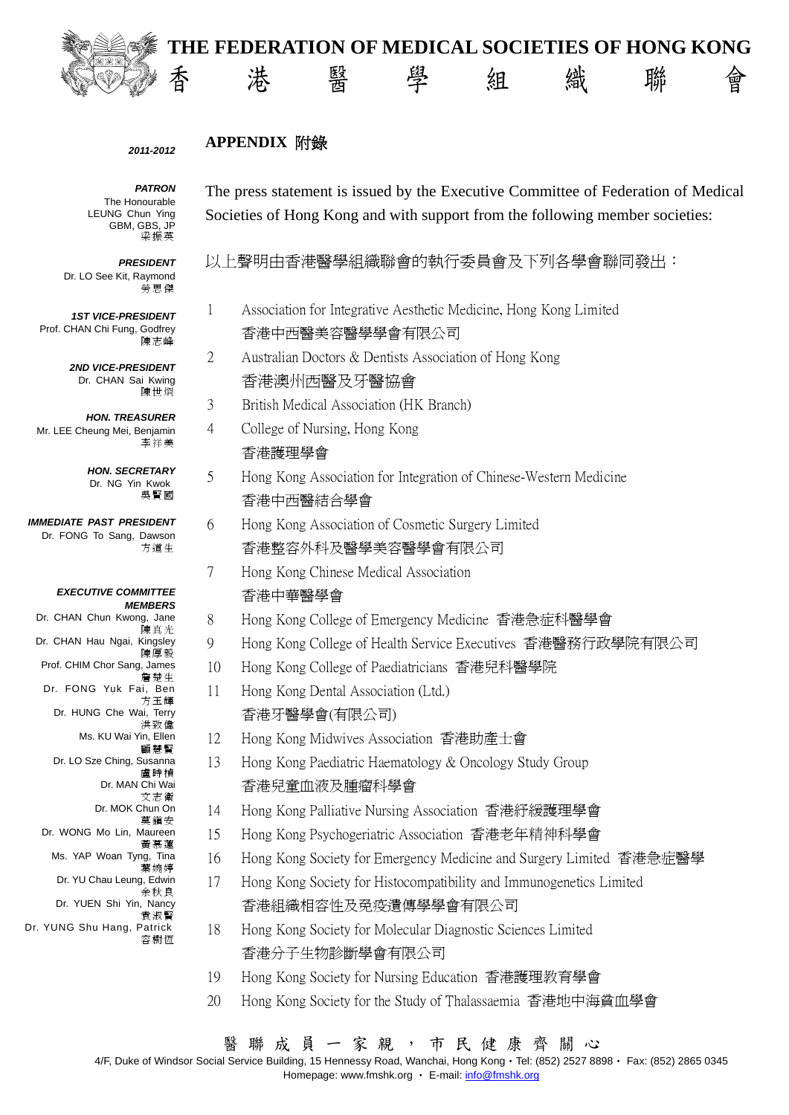



#### *2011-2012*

# **APPENDIX** 附錄

*PATRON*  The Honourable LEUNG Chun Ying GBM, GBS, JP 梁振英

*PRESIDENT*  Dr. LO See Kit, Raymond 勞思傑

*1ST VICE-PRESIDENT*  Prof. CHAN Chi Fung, Godfrey 陳志峰

> *2ND VICE-PRESIDENT*  Dr. CHAN Sai Kwing 陳世烱

*HON. TREASURER*  Mr. LEE Cheung Mei, Benjamin 李祥美

> *HON. SECRETARY*  Dr. NG Yin Kwok 吳賢國

*IMMEDIATE PAST PRESIDENT*  Dr. FONG To Sang, Dawson 方道生

#### *EXECUTIVE COMMITTEE MEMBERS*

Dr. CHAN Chun Kwong, Jane 陳真光 Dr. CHAN Hau Ngai, Kingsley 陳厚毅 Prof. CHIM Chor Sang, James 詹楚生 Dr. FONG Yuk Fai, Ben 方玉輝 Dr. HUNG Che Wai, Terry 洪致偉 Ms. KU Wai Yin, Ellen 顧慧賢 Dr. LO Sze Ching, Susanna 盧時楨 Dr. MAN Chi Wai 文志衛 Dr. MOK Chun On 莫鎮安 Dr. WONG Mo Lin, Maureen 黃慕蓮 Ms. YAP Woan Tyng, Tina 葉婉婷 Dr. YU Chau Leung, Edwin 余秋良 Dr. YUEN Shi Yin, Nancy 袁淑賢

Dr. YUNG Shu Hang, Patrick 容樹恆 The press statement is issued by the Executive Committee of Federation of Medical Societies of Hong Kong and with support from the following member societies:

以上聲明由香港醫學組織聯會的執行委員會及下列各學會聯同發出:

- 1 Association for Integrative Aesthetic Medicine, Hong Kong Limited 香港中西醫美容醫學學會有限公司
- 2 Australian Doctors & Dentists Association of Hong Kong 香港澳州西醫及牙醫協會
- 3 British Medical Association (HK Branch)
- 4 College of Nursing, Hong Kong 香港護理學會
- 5 Hong Kong Association for Integration of Chinese-Western Medicine 香港中西醫結合學會
- 6 Hong Kong Association of Cosmetic Surgery Limited 香港整容外科及醫學美容醫學會有限公司
- 7 Hong Kong Chinese Medical Association 香港中華醫學會
- 8 Hong Kong College of Emergency Medicine 香港急症科醫學會
- 9 Hong Kong College of Health Service Executives 香港醫務行政學院有限公司
- 10 Hong Kong College of Paediatricians 香港兒科醫學院
- 11 Hong Kong Dental Association (Ltd.) 香港牙醫學會(有限公司)
- 12 Hong Kong Midwives Association 香港助產士會
- 13 Hong Kong Paediatric Haematology & Oncology Study Group 香港兒童血液及腫瘤科學會
- 14 Hong Kong Palliative Nursing Association 香港紓緩護理學會
- 15 Hong Kong Psychogeriatric Association 香港老年精神科學會
- 16 Hong Kong Society for Emergency Medicine and Surgery Limited 香港急症醫學
- 17 Hong Kong Society for Histocompatibility and Immunogenetics Limited 香港組織相容性及免疫遺傳學學會有限公司
- 18 Hong Kong Society for Molecular Diagnostic Sciences Limited 香港分子生物診斷學會有限公司
- 19 Hong Kong Society for Nursing Education 香港護理教育學會
- 20 Hong Kong Society for the Study of Thalassaemia 香港地中海貧血學會

4/F, Duke of Windsor Social Service Building, 15 Hennessy Road, Wanchai, Hong Kong‧Tel: (852) 2527 8898‧ Fax: (852) 2865 0345 Homepage: www.fmshk.org • E-mail: info@fmshk.org